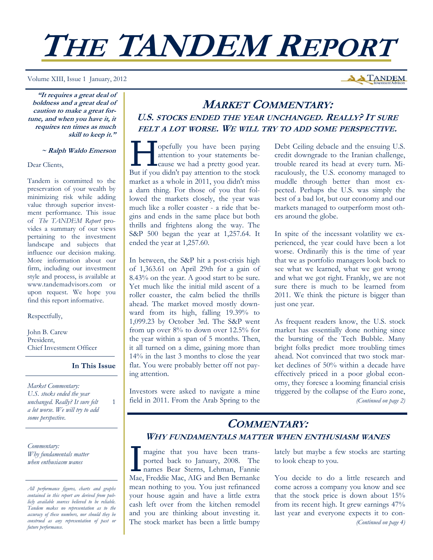# **THE TANDEM REPORT**

Volume XIII, Issue 1 January, 2012

**"It requires a great deal of boldness and a great deal of caution to make a great fortune, and when you have it, it requires ten times as much skill to keep it."** 

#### **~ Ralph Waldo Emerson**

Dear Clients,

Tandem is committed to the preservation of your wealth by minimizing risk while adding value through superior investment performance. This issue of *The TANDEM Report* provides a summary of our views pertaining to the investment landscape and subjects that influence our decision making. More information about our firm, including our investment style and process, is available at www.tandemadvisors.com or upon request. We hope you find this report informative.

#### Respectfully,

John B. Carew President, Chief Investment Officer

## **In This Issue**

1

*Market Commentary: U.S. stocks ended the year unchanged. Really? It sure felt a lot worse. We will try to add some perspective.* 

*Commentary: Why fundamentals matter when enthusiasm wanes* 

## **MARKET COMMENTARY: U.S. STOCKS ENDED THE YEAR UNCHANGED. REALLY? IT SURE FELT A LOT WORSE. WE WILL TRY TO ADD SOME PERSPECTIVE.**

set of the paying attention to your statements because we had a pretty good year. attention to your statements because we had a pretty good year. But if you didn't pay attention to the stock market as a whole in 2011, you didn't miss a darn thing. For those of you that followed the markets closely, the year was much like a roller coaster - a ride that begins and ends in the same place but both thrills and frightens along the way. The S&P 500 began the year at 1,257.64. It ended the year at 1,257.60.

In between, the S&P hit a post-crisis high of 1,363.61 on April 29th for a gain of 8.43% on the year. A good start to be sure. Yet much like the initial mild ascent of a roller coaster, the calm belied the thrills ahead. The market moved mostly downward from its high, falling 19.39% to 1,099.23 by October 3rd. The S&P went from up over 8% to down over 12.5% for the year within a span of 5 months. Then, it all turned on a dime, gaining more than 14% in the last 3 months to close the year flat. You were probably better off not paying attention.

Investors were asked to navigate a mine field in 2011. From the Arab Spring to the Debt Ceiling debacle and the ensuing U.S. credit downgrade to the Iranian challenge, trouble reared its head at every turn. Miraculously, the U.S. economy managed to muddle through better than most expected. Perhaps the U.S. was simply the best of a bad lot, but our economy and our markets managed to outperform most others around the globe.

**A TANDEM** 

In spite of the incessant volatility we experienced, the year could have been a lot worse. Ordinarily this is the time of year that we as portfolio managers look back to see what we learned, what we got wrong and what we got right. Frankly, we are not sure there is much to be learned from 2011. We think the picture is bigger than just one year.

As frequent readers know, the U.S. stock market has essentially done nothing since the bursting of the Tech Bubble. Many bright folks predict more troubling times ahead. Not convinced that two stock market declines of 50% within a decade have effectively priced in a poor global economy, they foresee a looming financial crisis triggered by the collapse of the Euro zone, *(Continued on page 2)* 

## **COMMENTARY: WHY FUNDAMENTALS MATTER WHEN ENTHUSIASM WANES**

magine that you have been transported back to January, 2008. The names Bear Sterns, Lehman, Fannie Mae, Freddie Mac, AIG and Ben Bernanke mean nothing to you. You just refinanced your house again and have a little extra cash left over from the kitchen remodel and you are thinking about investing it. The stock market has been a little bumpy lately but maybe a few stocks are starting to look cheap to you.

You decide to do a little research and come across a company you know and see that the stock price is down about 15% from its recent high. It grew earnings 47% last year and everyone expects it to con- *(Continued on page 4)* 

*All performance figures, charts and graphs contained in this report are derived from publicly available sources believed to be reliable. Tandem makes no representation as to the accuracy of these numbers, nor should they be construed as any representation of past or future performance.*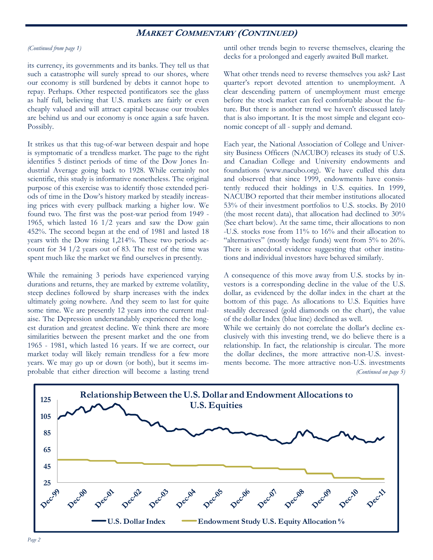## **MARKET COMMENTARY (CONTINUED)**

#### *(Continued from page 1)*

its currency, its governments and its banks. They tell us that such a catastrophe will surely spread to our shores, where our economy is still burdened by debts it cannot hope to repay. Perhaps. Other respected pontificators see the glass as half full, believing that U.S. markets are fairly or even cheaply valued and will attract capital because our troubles are behind us and our economy is once again a safe haven. Possibly.

It strikes us that this tug-of-war between despair and hope is symptomatic of a trendless market. The page to the right identifies 5 distinct periods of time of the Dow Jones Industrial Average going back to 1928. While certainly not scientific, this study is informative nonetheless. The original purpose of this exercise was to identify those extended periods of time in the Dow's history marked by steadily increasing prices with every pullback marking a higher low. We found two. The first was the post-war period from 1949 - 1965, which lasted 16 1/2 years and saw the Dow gain 452%. The second began at the end of 1981 and lasted 18 years with the Dow rising 1,214%. These two periods account for 34 1/2 years out of 83. The rest of the time was spent much like the market we find ourselves in presently.

While the remaining 3 periods have experienced varying durations and returns, they are marked by extreme volatility, steep declines followed by sharp increases with the index ultimately going nowhere. And they seem to last for quite some time. We are presently 12 years into the current malaise. The Depression understandably experienced the longest duration and greatest decline. We think there are more similarities between the present market and the one from 1965 - 1981, which lasted 16 years. If we are correct, our market today will likely remain trendless for a few more years. We may go up or down (or both), but it seems improbable that either direction will become a lasting trend

until other trends begin to reverse themselves, clearing the decks for a prolonged and eagerly awaited Bull market.

What other trends need to reverse themselves you ask? Last quarter's report devoted attention to unemployment. A clear descending pattern of unemployment must emerge before the stock market can feel comfortable about the future. But there is another trend we haven't discussed lately that is also important. It is the most simple and elegant economic concept of all - supply and demand.

Each year, the National Association of College and University Business Officers (NACUBO) releases its study of U.S. and Canadian College and University endowments and foundations (www.nacubo.org). We have culled this data and observed that since 1999, endowments have consistently reduced their holdings in U.S. equities. In 1999, NACUBO reported that their member institutions allocated 53% of their investment portfolios to U.S. stocks. By 2010 (the most recent data), that allocation had declined to 30% (See chart below). At the same time, their allocations to non -U.S. stocks rose from 11% to 16% and their allocation to "alternatives" (mostly hedge funds) went from 5% to 26%. There is anecdotal evidence suggesting that other institutions and individual investors have behaved similarly.

A consequence of this move away from U.S. stocks by investors is a corresponding decline in the value of the U.S. dollar, as evidenced by the dollar index in the chart at the bottom of this page. As allocations to U.S. Equities have steadily decreased (gold diamonds on the chart), the value of the dollar Index (blue line) declined as well.

While we certainly do not correlate the dollar's decline exclusively with this investing trend, we do believe there is a relationship. In fact, the relationship is circular. The more the dollar declines, the more attractive non-U.S. investments become. The more attractive non-U.S. investments *(Continued on page 5)* 

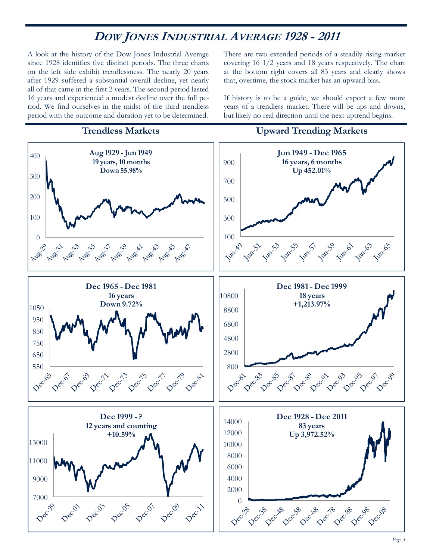# **DOW JONES INDUSTRIAL AVERAGE 1928 - 2011**

A look at the history of the Dow Jones Industrial Average since 1928 identifies five distinct periods. The three charts on the left side exhibit trendlessness. The nearly 20 years after 1929 suffered a substantial overall decline, yet nearly all of that came in the first 2 years. The second period lasted 16 years and experienced a modest decline over the full period. We find ourselves in the midst of the third trendless period with the outcome and duration yet to be determined.

There are two extended periods of a steadily rising market covering 16 1/2 years and 18 years respectively. The chart at the bottom right covers all 83 years and clearly shows that, overtime, the stock market has an upward bias.

If history is to be a guide, we should expect a few more years of a trendless market. There will be ups and downs, but likely no real direction until the next uptrend begins.

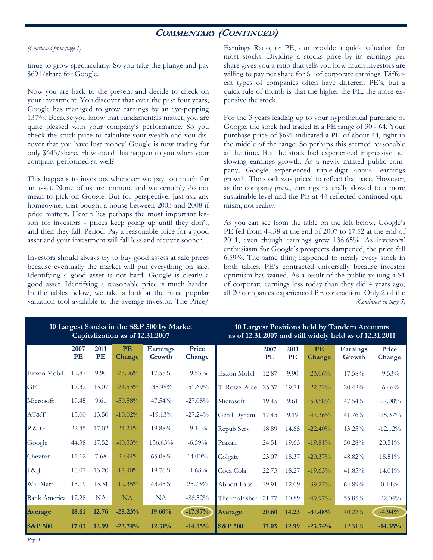## **COMMENTARY (CONTINUED)**

#### *(Continued from page 1)*

tinue to grow spectacularly. So you take the plunge and pay \$691/share for Google.

Now you are back to the present and decide to check on your investment. You discover that over the past four years, Google has managed to grow earnings by an eye-popping 137%. Because you know that fundamentals matter, you are quite pleased with your company's performance. So you check the stock price to calculate your wealth and you discover that you have lost money! Google is now trading for only \$645/share. How could this happen to you when your company performed so well?

This happens to investors whenever we pay too much for an asset. None of us are immune and we certainly do not mean to pick on Google. But for perspective, just ask any homeowner that bought a house between 2003 and 2008 if price matters. Herein lies perhaps the most important lesson for investors - prices keep going up until they don't, and then they fall. Period. Pay a reasonable price for a good asset and your investment will fall less and recover sooner.

Investors should always try to buy good assets at sale prices because eventually the market will put everything on sale. Identifying a good asset is not hard. Google is clearly a good asset. Identifying a reasonable price is much harder. In the tables below, we take a look at the most popular valuation tool available to the average investor. The Price/

Earnings Ratio, or PE, can provide a quick valuation for most stocks. Dividing a stocks price by its earnings per share gives you a ratio that tells you how much investors are willing to pay per share for \$1 of corporate earnings. Different types of companies often have different PE's, but a quick rule of thumb is that the higher the PE, the more expensive the stock.

For the 3 years leading up to your hypothetical purchase of Google, the stock had traded in a PE range of 30 - 64. Your purchase price of \$691 indicated a PE of about 44, right in the middle of the range. So perhaps this seemed reasonable at the time. But the stock had experienced impressive but slowing earnings growth. As a newly minted public company, Google experienced triple-digit annual earnings growth. The stock was priced to reflect that pace. However, as the company grew, earnings naturally slowed to a more sustainable level and the PE at 44 reflected continued optimism, not reality.

As you can see from the table on the left below, Google's PE fell from 44.38 at the end of 2007 to 17.52 at the end of 2011, even though earnings grew 136.65%. As investors' enthusiasm for Google's prospects dampened, the price fell 6.59%. The same thing happened to nearly every stock in both tables. PE's contracted universally because investor optimism has waned. As a result of the public valuing a \$1 of corporate earnings less today than they did 4 years ago, all 20 companies experienced PE contraction. Only 2 of the *(Continued on page 5)* 

| 10 Largest Stocks in the S&P 500 by Market<br>Capitalization as of 12.31.2007 |            |            |                            |                           |                 | 10 Largest Positions held by Tandem Accounts<br>as of 12.31.2007 and still widely held as of 12.31.2011 |            |            |                     |                           |                 |
|-------------------------------------------------------------------------------|------------|------------|----------------------------|---------------------------|-----------------|---------------------------------------------------------------------------------------------------------|------------|------------|---------------------|---------------------------|-----------------|
|                                                                               | 2007<br>PE | 2011<br>PE | <b>PE</b><br><b>Change</b> | <b>Earnings</b><br>Growth | Price<br>Change |                                                                                                         | 2007<br>PE | 2011<br>PE | <b>PE</b><br>Change | <b>Earnings</b><br>Growth | Price<br>Change |
| Exxon Mobil                                                                   | 12.87      | 9.90       | $-23.06\%$                 | 17.58%                    | $-9.53%$        | Exxon Mobil                                                                                             | 12.87      | 9.90       | $-23.06\%$          | 17.58%                    | $-9.53%$        |
| GE                                                                            | 17.32      | 13.07      | $-24.53%$                  | $-35.98\%$                | $-51.69%$       | T. Rowe Price                                                                                           | 25.37      | 19.71      | $-22.32\%$          | 20.42%                    | $-6.46%$        |
| Microsoft                                                                     | 19.45      | 9.61       | $-50.58%$                  | 47.54%                    | $-27.08%$       | Microsoft                                                                                               | 19.45      | 9.61       | $-50.58%$           | 47.54%                    | $-27.08%$       |
| AT&T                                                                          | 15.00      | 13.50      | $-10.02\%$                 | $-19.13%$                 | $-27.24%$       | Gen'l Dynam                                                                                             | 17.45      | 9.19       | $-47.36\%$          | 41.76%                    | $-25.37\%$      |
| P & G                                                                         | 22.45      | 17.02      | $-24.21\%$                 | 19.88%                    | $-9.14\%$       | Repub Serv                                                                                              | 18.89      | 14.65      | $-22.40%$           | 13.25%                    | $-12.12%$       |
| Google                                                                        | 44.38      | 17.52      | $-60.53\%$                 | 136.65%                   | $-6.59\%$       | Praxair                                                                                                 | 24.51      | 19.65      | $-19.81\%$          | 50.28%                    | 20.51%          |
| Chevron                                                                       | 11.12      | 7.68       | $-30.94\%$                 | 65.08%                    | $14.00\%$       | Colgate                                                                                                 | 23.07      | 18.37      | $-20.37\%$          | 48.82%                    | 18.51%          |
| & $\bar{z}$                                                                   | 16.07      | 13.20      | $-17.90\%$                 | 19.76%                    | $-1.68%$        | Coca Cola                                                                                               | 22.73      | 18.27      | $-19.63\%$          | 41.85%                    | 14.01%          |
| Wal-Mart                                                                      | 15.19      | 13.31      | $-12.35%$                  | 43.45%                    | 25.73%          | <b>Abbott Labs</b>                                                                                      | 19.91      | 12.09      | $-39.27\%$          | 64.89%                    | $0.14\%$        |
| <b>Bank America</b>                                                           | 12.28      | <b>NA</b>  | <b>NA</b>                  | <b>NA</b>                 | $-86.52\%$      | ThermoFisher                                                                                            | 21.77      | 10.89      | $-49.97\%$          | 55.85%                    | $-22.04%$       |
| Average                                                                       | 18.61      | 12.76      | $-28.23%$                  | $19.60\%$                 | $-17.97%$       | <b>Average</b>                                                                                          | 20.60      | 14.23      | $-31.48%$           | $40.22\%$                 | $-4.94%$        |
| $S\&P 500$                                                                    | 17.03      | 12.99      | $-23.74%$                  | 12.31%                    | $-14.35%$       | <b>S&amp;P</b> 500                                                                                      | 17.03      | 12.99      | $-23.74%$           | $12.31\%$                 | $-14.35%$       |

# **10 Largest Positions held by Tandem Accounts**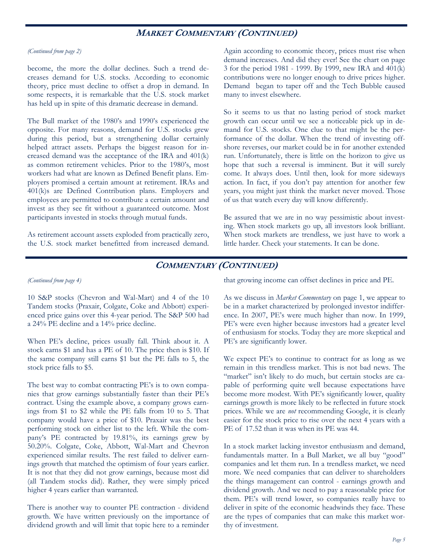## **MARKET COMMENTARY (CONTINUED)**

#### *(Continued from page 2)*

become, the more the dollar declines. Such a trend decreases demand for U.S. stocks. According to economic theory, price must decline to offset a drop in demand. In some respects, it is remarkable that the U.S. stock market has held up in spite of this dramatic decrease in demand.

The Bull market of the 1980's and 1990's experienced the opposite. For many reasons, demand for U.S. stocks grew during this period, but a strengthening dollar certainly helped attract assets. Perhaps the biggest reason for increased demand was the acceptance of the IRA and 401(k) as common retirement vehicles. Prior to the 1980's, most workers had what are known as Defined Benefit plans. Employers promised a certain amount at retirement. IRAs and 401(k)s are Defined Contribution plans. Employers and employees are permitted to contribute a certain amount and invest as they see fit without a guaranteed outcome. Most participants invested in stocks through mutual funds.

As retirement account assets exploded from practically zero, the U.S. stock market benefitted from increased demand.

Again according to economic theory, prices must rise when demand increases. And did they ever! See the chart on page 3 for the period 1981 - 1999. By 1999, new IRA and 401(k) contributions were no longer enough to drive prices higher. Demand began to taper off and the Tech Bubble caused many to invest elsewhere.

So it seems to us that no lasting period of stock market growth can occur until we see a noticeable pick up in demand for U.S. stocks. One clue to that might be the performance of the dollar. When the trend of investing offshore reverses, our market could be in for another extended run. Unfortunately, there is little on the horizon to give us hope that such a reversal is imminent. But it will surely come. It always does. Until then, look for more sideways action. In fact, if you don't pay attention for another few years, you might just think the market never moved. Those of us that watch every day will know differently.

Be assured that we are in no way pessimistic about investing. When stock markets go up, all investors look brilliant. When stock markets are trendless, we just have to work a little harder. Check your statements. It can be done.

## **COMMENTARY (CONTINUED)**

### *(Continued from page 4)*

10 S&P stocks (Chevron and Wal-Mart) and 4 of the 10 Tandem stocks (Praxair, Colgate, Coke and Abbott) experienced price gains over this 4-year period. The S&P 500 had a 24% PE decline and a 14% price decline.

When PE's decline, prices usually fall. Think about it. A stock earns \$1 and has a PE of 10. The price then is \$10. If the same company still earns \$1 but the PE falls to 5, the stock price falls to \$5.

The best way to combat contracting PE's is to own companies that grow earnings substantially faster than their PE's contract. Using the example above, a company grows earnings from \$1 to \$2 while the PE falls from 10 to 5. That company would have a price of \$10. Praxair was the best performing stock on either list to the left. While the company's PE contracted by 19.81%, its earnings grew by 50.20%. Colgate, Coke, Abbott, Wal-Mart and Chevron experienced similar results. The rest failed to deliver earnings growth that matched the optimism of four years earlier. It is not that they did not grow earnings, because most did (all Tandem stocks did). Rather, they were simply priced higher 4 years earlier than warranted.

There is another way to counter PE contraction - dividend growth. We have written previously on the importance of dividend growth and will limit that topic here to a reminder that growing income can offset declines in price and PE.

As we discuss in *Market Commentary* on page 1, we appear to be in a market characterized by prolonged investor indifference. In 2007, PE's were much higher than now. In 1999, PE's were even higher because investors had a greater level of enthusiasm for stocks. Today they are more skeptical and PE's are significantly lower.

We expect PE's to continue to contract for as long as we remain in this trendless market. This is not bad news. The "market" isn't likely to do much, but certain stocks are capable of performing quite well because expectations have become more modest. With PE's significantly lower, quality earnings growth is more likely to be reflected in future stock prices. While we are *not* recommending Google, it is clearly easier for the stock price to rise over the next 4 years with a PE of 17.52 than it was when its PE was 44.

In a stock market lacking investor enthusiasm and demand, fundamentals matter. In a Bull Market, we all buy "good" companies and let them run. In a trendless market, we need more. We need companies that can deliver to shareholders the things management can control - earnings growth and dividend growth. And we need to pay a reasonable price for them. PE's will trend lower, so companies really have to deliver in spite of the economic headwinds they face. These are the types of companies that can make this market worthy of investment.